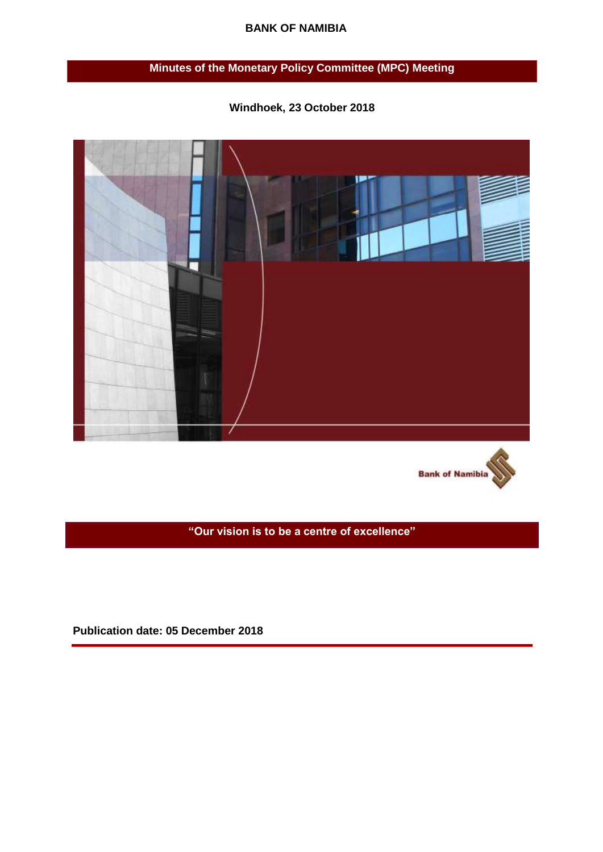#### **BANK OF NAMIBIA**

# **Minutes of the Monetary Policy Committee (MPC) Meeting**



**Windhoek, 23 October 2018** 



**"Our vision is to be a centre of excellence"**

**Publication date: 05 December 2018**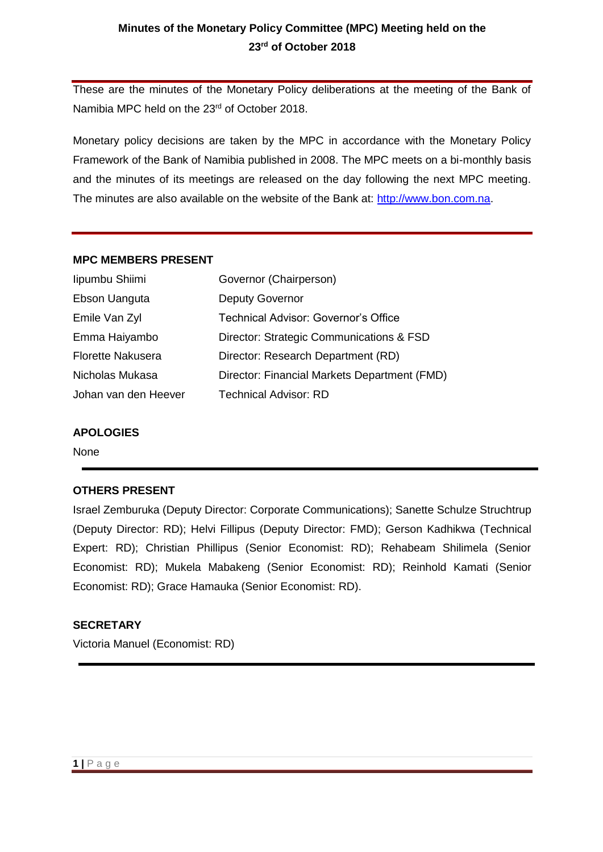## **Minutes of the Monetary Policy Committee (MPC) Meeting held on the 23rd of October 2018**

These are the minutes of the Monetary Policy deliberations at the meeting of the Bank of Namibia MPC held on the 23<sup>rd</sup> of October 2018.

Monetary policy decisions are taken by the MPC in accordance with the Monetary Policy Framework of the Bank of Namibia published in 2008. The MPC meets on a bi-monthly basis and the minutes of its meetings are released on the day following the next MPC meeting. The minutes are also available on the website of the Bank at: [http://www.bon.com.na.](http://www.bon.com.na/)

#### **MPC MEMBERS PRESENT**

| lipumbu Shiimi           | Governor (Chairperson)                       |
|--------------------------|----------------------------------------------|
| Ebson Uanguta            | <b>Deputy Governor</b>                       |
| Emile Van Zyl            | Technical Advisor: Governor's Office         |
| Emma Haiyambo            | Director: Strategic Communications & FSD     |
| <b>Florette Nakusera</b> | Director: Research Department (RD)           |
| Nicholas Mukasa          | Director: Financial Markets Department (FMD) |
| Johan van den Heever     | <b>Technical Advisor: RD</b>                 |

#### **APOLOGIES**

None

#### **OTHERS PRESENT**

Israel Zemburuka (Deputy Director: Corporate Communications); Sanette Schulze Struchtrup (Deputy Director: RD); Helvi Fillipus (Deputy Director: FMD); Gerson Kadhikwa (Technical Expert: RD); Christian Phillipus (Senior Economist: RD); Rehabeam Shilimela (Senior Economist: RD); Mukela Mabakeng (Senior Economist: RD); Reinhold Kamati (Senior Economist: RD); Grace Hamauka (Senior Economist: RD).

#### **SECRETARY**

Victoria Manuel (Economist: RD)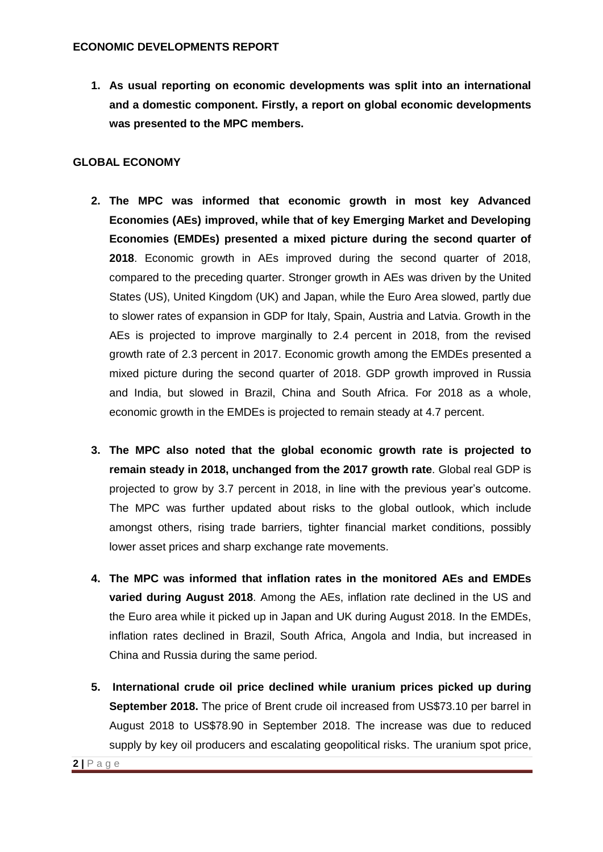**1. As usual reporting on economic developments was split into an international and a domestic component. Firstly, a report on global economic developments was presented to the MPC members.** 

### **GLOBAL ECONOMY**

- **2. The MPC was informed that economic growth in most key Advanced Economies (AEs) improved, while that of key Emerging Market and Developing Economies (EMDEs) presented a mixed picture during the second quarter of 2018**. Economic growth in AEs improved during the second quarter of 2018, compared to the preceding quarter. Stronger growth in AEs was driven by the United States (US), United Kingdom (UK) and Japan, while the Euro Area slowed, partly due to slower rates of expansion in GDP for Italy, Spain, Austria and Latvia. Growth in the AEs is projected to improve marginally to 2.4 percent in 2018, from the revised growth rate of 2.3 percent in 2017. Economic growth among the EMDEs presented a mixed picture during the second quarter of 2018. GDP growth improved in Russia and India, but slowed in Brazil, China and South Africa. For 2018 as a whole, economic growth in the EMDEs is projected to remain steady at 4.7 percent.
- **3. The MPC also noted that the global economic growth rate is projected to remain steady in 2018, unchanged from the 2017 growth rate**. Global real GDP is projected to grow by 3.7 percent in 2018, in line with the previous year's outcome. The MPC was further updated about risks to the global outlook, which include amongst others, rising trade barriers, tighter financial market conditions, possibly lower asset prices and sharp exchange rate movements.
- **4. The MPC was informed that inflation rates in the monitored AEs and EMDEs varied during August 2018**. Among the AEs, inflation rate declined in the US and the Euro area while it picked up in Japan and UK during August 2018. In the EMDEs, inflation rates declined in Brazil, South Africa, Angola and India, but increased in China and Russia during the same period.
- **5. International crude oil price declined while uranium prices picked up during September 2018.** The price of Brent crude oil increased from US\$73.10 per barrel in August 2018 to US\$78.90 in September 2018. The increase was due to reduced supply by key oil producers and escalating geopolitical risks. The uranium spot price,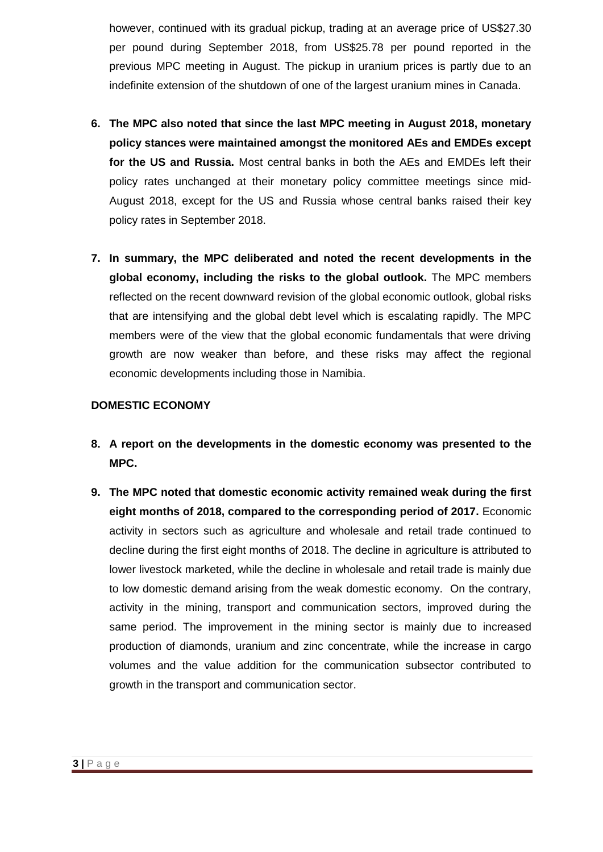however, continued with its gradual pickup, trading at an average price of US\$27.30 per pound during September 2018, from US\$25.78 per pound reported in the previous MPC meeting in August. The pickup in uranium prices is partly due to an indefinite extension of the shutdown of one of the largest uranium mines in Canada.

- **6. The MPC also noted that since the last MPC meeting in August 2018, monetary policy stances were maintained amongst the monitored AEs and EMDEs except for the US and Russia.** Most central banks in both the AEs and EMDEs left their policy rates unchanged at their monetary policy committee meetings since mid-August 2018, except for the US and Russia whose central banks raised their key policy rates in September 2018.
- **7. In summary, the MPC deliberated and noted the recent developments in the global economy, including the risks to the global outlook.** The MPC members reflected on the recent downward revision of the global economic outlook, global risks that are intensifying and the global debt level which is escalating rapidly. The MPC members were of the view that the global economic fundamentals that were driving growth are now weaker than before, and these risks may affect the regional economic developments including those in Namibia.

#### **DOMESTIC ECONOMY**

- **8. A report on the developments in the domestic economy was presented to the MPC.**
- **9. The MPC noted that domestic economic activity remained weak during the first eight months of 2018, compared to the corresponding period of 2017.** Economic activity in sectors such as agriculture and wholesale and retail trade continued to decline during the first eight months of 2018. The decline in agriculture is attributed to lower livestock marketed, while the decline in wholesale and retail trade is mainly due to low domestic demand arising from the weak domestic economy. On the contrary, activity in the mining, transport and communication sectors, improved during the same period. The improvement in the mining sector is mainly due to increased production of diamonds, uranium and zinc concentrate, while the increase in cargo volumes and the value addition for the communication subsector contributed to growth in the transport and communication sector.